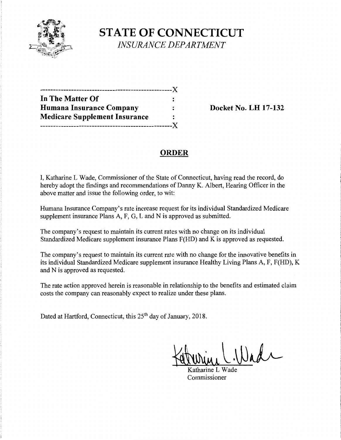

**STATE OF CONNECTICUT**  *INSURANCE DEPARTMENT* 

| --------------------------------     |    |
|--------------------------------------|----|
| In The Matter Of                     |    |
| Humana Insurance Company             |    |
| <b>Medicare Supplement Insurance</b> | ٠  |
| ---------------                      | -X |

**Docket No. LH 17-132** 

# **ORDER**

I, Katharine L Wade, Commissioner of the State of Connecticut, having read the record, do hereby adopt the findings and recommendations of Danny K. Albert, Hearing Officer in the above matter and issue the following order, to wit:

Humana Insurance Company's rate increase request for its individual Standardized Medicare supplement insurance Plans A, F, G, L and N is approved as submitted.

The company's request to maintain its current rates with no change on its individual Standardized Medicare supplement insurance Plans F(HD) and K is approved as requested.

The company's request to maintain its current rate with no change for the innovative benefits in its individual Standardized Medicare supplement insurance Healthy Living Plans A, F, F(HD), K and N is approved as requested.

The rate action approved herein is reasonable in relationship to the benefits and estimated claim costs the company can reasonably expect to realize under these plans.

Dated at Hartford, Connecticut, this 25<sup>th</sup> day of January, 2018.

**~1l.\JJ~** 

atharine  $L$ Commissioner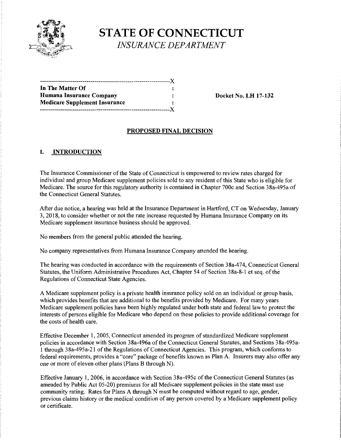

**STATE OF CONNECTICUT**  *INSURANCE DEPARTMENT* 

| .------------------------------------X |  |
|----------------------------------------|--|
| In The Matter Of                       |  |
| Humana Insurance Company               |  |
| <b>Medicare Supplement Insurance</b>   |  |
|                                        |  |

**Docket No. LH 17-132** 

## **PROPOSED FINAL DECISION**

## **I. INTRODUCTION**

The Insurance Commissioner of the State of Connecticut is empowered to review rates charged for individual and group Medicare supplement policies sold to any resident of this State who is eligible for Medicare. The source for this regulatory authority is contained in Chapter 700c and Section 38a-495a of the Connecticut General Statutes.

After due notice, a hearing was held at the Insurance Department in Hartford, CT on Wednesday, January 3, 2018, to consider whether or not the rate increase requested by Humana Insurance Company on its Medicare supplement insurance business should be approved.

No members from the general public attended the hearing.

No company representatives from Humana Insurance Company attended the hearing.

The hearing was conducted in accordance with the requirements of Section 38a-474, Connecticut General Statutes, the Uniform Administrative Procedures Act, Chapter 54 of Section 38a-8-1 et seq. of the Regulations of Connecticut State Agencies.

A Medicare supplement policy is a private health insurance policy sold on an individual or group basis, which provides benefits that are additional to the benefits provided by Medicare. For many years Medicare supplement policies have been highly regulated under both state and federal law to protect the interests of persons eligible for Medicare who depend on these policies to provide additional coverage for the costs of health care.

Effective December 1, 2005, Connecticut amended its program of standardized Medicare supplement policies in accordance with Section 38a-496a of the Connecticut General Statutes, and Sections 38a-495a-1 through 38a-495a-21 of the Regulations of Connecticut Agencies. This program, which conforms to federal requirements, provides a "core" package of benefits known as Plan A. Insurers may also offer any one or more of eleven other plans (Plans B through N).

Effective January 1, 2006, in accordance with Section 38a-495c of the Connecticut General Statutes (as amended by Public Act 05-20) premiums for all Medicare supplement policies in the state must use community rating. Rates for Plans A through N must be computed without regard to age, gender, previous claims history or the medical condition of any person covered by a Medicare supplement policy or certificate.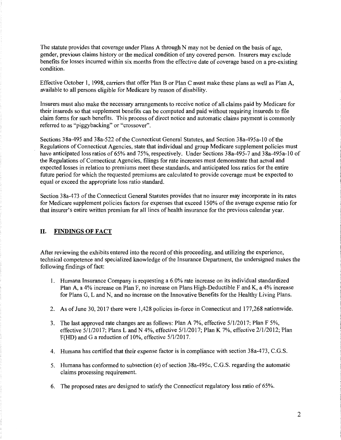The statute provides that coverage under Plans A through N may not be denied on the basis of age, gender, previous claims history or the medical condition of any covered person. Insurers may exclude benefits for losses incurred within six months from the effective date of coverage based on a pre-existing condition.

Effective October 1, 1998, carriers that offer Plan B or Plan C must make these plans as well as Plan A, available to all persons eligible for Medicare by reason of disability.

Insurers must also make the necessary arrangements to receive notice of all claims paid by Medicare for their insureds so that supplement benefits can be computed and paid without requiring insureds to file claim forms for such benefits. This process of direct notice and automatic claims payment is commonly referred to as "piggybacking" or "crossover".

Sections 38a-495 and 38a-522 of the Connecticut General Statutes, and Section 38a-495a-10 of the Regulations of Connecticut Agencies, state that individual and group Medicare supplement policies must have anticipated loss ratios of 65% and 75%, respectively. Under Sections 38a-495-7 and 38a-495a-10 of the Regulations of Connecticut Agencies, filings for rate increases must demonstrate that actual and expected losses in relation to premiums meet these standards, and anticipated loss ratios for the entire future period for which the requested premiums are calculated to provide coverage must be expected to equal or exceed the appropriate loss ratio standard.

Section 3 8a-4 73 of the Connecticut General Statutes provides that no insurer may incorporate in its rates for Medicare supplement policies factors for expenses that exceed 150% of the average expense ratio for that insurer's entire written premium for all lines of health insurance for the previous calendar year.

## II. **FINDINGS OF FACT**

After reviewing the exhibits entered into the record ofthis proceeding, and utilizing the experience, technical competence and specialized knowledge of the Insurance Department, the undersigned makes the following findings of fact:

- 1. Humana Insurance Company is requesting a 6.0% rate increase on its individual standardized Plan A, a 4% increase on Plan F, no increase on Plans High-Deductible F and K, a 4% increase for Plans G, Land N, and no increase on the Innovative Benefits for the Healthy Living Plans.
- 2. As of June 30, 2017 there were 1,428 policies in-force in Connecticut and 177,268 nationwide.
- 3. The last approved rate changes are as follows: Plan A 7%, effective 5/1/2017; Plan F 5%, effective 5/1/2017; Plans Land N 4%, effective 5/1/2017; Plan K 7%, effective 2/1/2012; Plan F(HD) and Ga reduction of 10%, effective 5/1/2017.
- 4. Humana has certified that their expense factor is **in** compliance with section 38a-473, C.G.S.
- 5. Humana has conformed to subsection (e) of section 38a-495c, C.G.S. regarding the automatic claims processing requirement.
- 6. The proposed rates are designed to satisfy the Connecticut regulatory loss ratio of 65%.